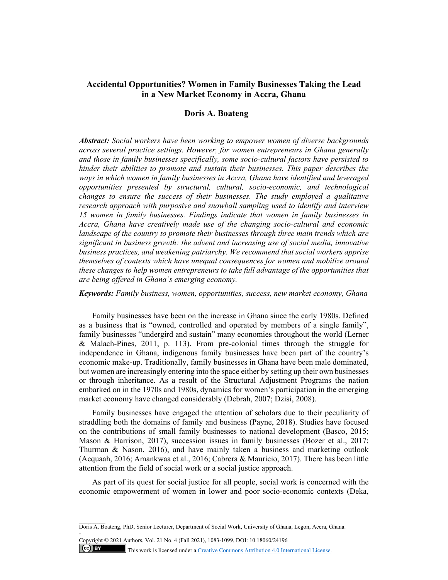# **Accidental Opportunities? Women in Family Businesses Taking the Lead in a New Market Economy in Accra, Ghana**

# **Doris A. Boateng**

*Abstract: Social workers have been working to empower women of diverse backgrounds across several practice settings. However, for women entrepreneurs in Ghana generally and those in family businesses specifically, some socio-cultural factors have persisted to hinder their abilities to promote and sustain their businesses. This paper describes the ways in which women in family businesses in Accra, Ghana have identified and leveraged opportunities presented by structural, cultural, socio-economic, and technological changes to ensure the success of their businesses. The study employed a qualitative research approach with purposive and snowball sampling used to identify and interview 15 women in family businesses. Findings indicate that women in family businesses in Accra, Ghana have creatively made use of the changing socio-cultural and economic landscape of the country to promote their businesses through three main trends which are significant in business growth: the advent and increasing use of social media, innovative business practices, and weakening patriarchy. We recommend that social workers apprise themselves of contexts which have unequal consequences for women and mobilize around these changes to help women entrepreneurs to take full advantage of the opportunities that are being offered in Ghana's emerging economy.* 

*Keywords: Family business, women, opportunities, success, new market economy, Ghana*

Family businesses have been on the increase in Ghana since the early 1980s. Defined as a business that is "owned, controlled and operated by members of a single family", family businesses "undergird and sustain" many economies throughout the world (Lerner & Malach-Pines, 2011, p. 113). From pre-colonial times through the struggle for independence in Ghana, indigenous family businesses have been part of the country's economic make-up. Traditionally, family businesses in Ghana have been male dominated, but women are increasingly entering into the space either by setting up their own businesses or through inheritance. As a result of the Structural Adjustment Programs the nation embarked on in the 1970s and 1980s, dynamics for women's participation in the emerging market economy have changed considerably (Debrah, 2007; Dzisi, 2008).

Family businesses have engaged the attention of scholars due to their peculiarity of straddling both the domains of family and business (Payne, 2018). Studies have focused on the contributions of small family businesses to national development (Basco, 2015; Mason & Harrison, 2017), succession issues in family businesses (Bozer et al., 2017; Thurman & Nason, 2016), and have mainly taken a business and marketing outlook (Acquaah, 2016; Amankwaa et al., 2016; Cabrera & Mauricio, 2017). There has been little attention from the field of social work or a social justice approach.

As part of its quest for social justice for all people, social work is concerned with the economic empowerment of women in lower and poor socio-economic contexts (Deka,

Copyright © 2021 Authors, Vol. 21 No. 4 (Fall 2021), 1083-1099, DOI: 10.18060/24196

-

 $\left(\text{c}\right)$  BY This work is licensed under a Creative Commons Attribution 4.0 International License.

Doris A. Boateng, PhD, Senior Lecturer, Department of Social Work, University of Ghana, Legon, Accra, Ghana.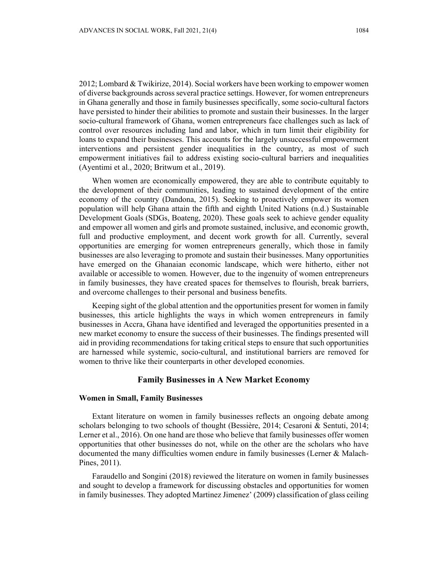2012; Lombard & Twikirize, 2014). Social workers have been working to empower women of diverse backgrounds across several practice settings. However, for women entrepreneurs in Ghana generally and those in family businesses specifically, some socio-cultural factors have persisted to hinder their abilities to promote and sustain their businesses. In the larger socio-cultural framework of Ghana, women entrepreneurs face challenges such as lack of control over resources including land and labor, which in turn limit their eligibility for loans to expand their businesses. This accounts for the largely unsuccessful empowerment interventions and persistent gender inequalities in the country, as most of such empowerment initiatives fail to address existing socio-cultural barriers and inequalities (Ayentimi et al., 2020; Britwum et al., 2019).

When women are economically empowered, they are able to contribute equitably to the development of their communities, leading to sustained development of the entire economy of the country (Dandona, 2015). Seeking to proactively empower its women population will help Ghana attain the fifth and eighth United Nations (n.d.) Sustainable Development Goals (SDGs, Boateng, 2020). These goals seek to achieve gender equality and empower all women and girls and promote sustained, inclusive, and economic growth, full and productive employment, and decent work growth for all. Currently, several opportunities are emerging for women entrepreneurs generally, which those in family businesses are also leveraging to promote and sustain their businesses. Many opportunities have emerged on the Ghanaian economic landscape, which were hitherto, either not available or accessible to women. However, due to the ingenuity of women entrepreneurs in family businesses, they have created spaces for themselves to flourish, break barriers, and overcome challenges to their personal and business benefits.

Keeping sight of the global attention and the opportunities present for women in family businesses, this article highlights the ways in which women entrepreneurs in family businesses in Accra, Ghana have identified and leveraged the opportunities presented in a new market economy to ensure the success of their businesses. The findings presented will aid in providing recommendations for taking critical steps to ensure that such opportunities are harnessed while systemic, socio-cultural, and institutional barriers are removed for women to thrive like their counterparts in other developed economies.

### **Family Businesses in A New Market Economy**

### **Women in Small, Family Businesses**

Extant literature on women in family businesses reflects an ongoing debate among scholars belonging to two schools of thought (Bessière, 2014; Cesaroni & Sentuti, 2014; Lerner et al., 2016). On one hand are those who believe that family businesses offer women opportunities that other businesses do not, while on the other are the scholars who have documented the many difficulties women endure in family businesses (Lerner & Malach-Pines, 2011).

Faraudello and Songini (2018) reviewed the literature on women in family businesses and sought to develop a framework for discussing obstacles and opportunities for women in family businesses. They adopted Martinez Jimenez' (2009) classification of glass ceiling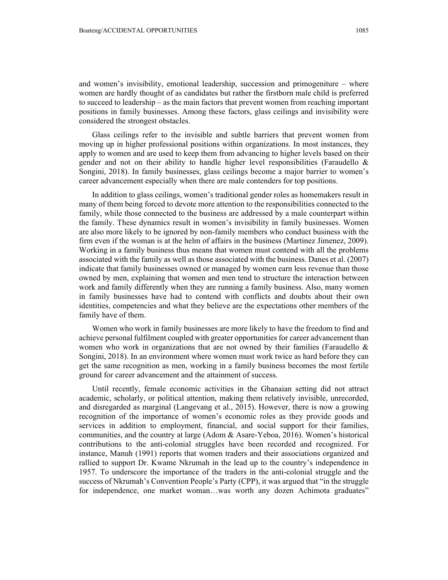and women's invisibility, emotional leadership, succession and primogeniture – where women are hardly thought of as candidates but rather the firstborn male child is preferred to succeed to leadership – as the main factors that prevent women from reaching important positions in family businesses. Among these factors, glass ceilings and invisibility were considered the strongest obstacles.

Glass ceilings refer to the invisible and subtle barriers that prevent women from moving up in higher professional positions within organizations. In most instances, they apply to women and are used to keep them from advancing to higher levels based on their gender and not on their ability to handle higher level responsibilities (Faraudello  $\&$ Songini, 2018). In family businesses, glass ceilings become a major barrier to women's career advancement especially when there are male contenders for top positions.

In addition to glass ceilings, women's traditional gender roles as homemakers result in many of them being forced to devote more attention to the responsibilities connected to the family, while those connected to the business are addressed by a male counterpart within the family. These dynamics result in women's invisibility in family businesses. Women are also more likely to be ignored by non-family members who conduct business with the firm even if the woman is at the helm of affairs in the business (Martinez Jimenez, 2009). Working in a family business thus means that women must contend with all the problems associated with the family as well as those associated with the business. Danes et al. (2007) indicate that family businesses owned or managed by women earn less revenue than those owned by men, explaining that women and men tend to structure the interaction between work and family differently when they are running a family business. Also, many women in family businesses have had to contend with conflicts and doubts about their own identities, competencies and what they believe are the expectations other members of the family have of them.

Women who work in family businesses are more likely to have the freedom to find and achieve personal fulfilment coupled with greater opportunities for career advancement than women who work in organizations that are not owned by their families (Faraudello  $\&$ Songini, 2018). In an environment where women must work twice as hard before they can get the same recognition as men, working in a family business becomes the most fertile ground for career advancement and the attainment of success.

Until recently, female economic activities in the Ghanaian setting did not attract academic, scholarly, or political attention, making them relatively invisible, unrecorded, and disregarded as marginal (Langevang et al., 2015). However, there is now a growing recognition of the importance of women's economic roles as they provide goods and services in addition to employment, financial, and social support for their families, communities, and the country at large (Adom & Asare-Yeboa, 2016). Women's historical contributions to the anti-colonial struggles have been recorded and recognized. For instance, Manuh (1991) reports that women traders and their associations organized and rallied to support Dr. Kwame Nkrumah in the lead up to the country's independence in 1957. To underscore the importance of the traders in the anti-colonial struggle and the success of Nkrumah's Convention People's Party (CPP), it was argued that "in the struggle for independence, one market woman…was worth any dozen Achimota graduates"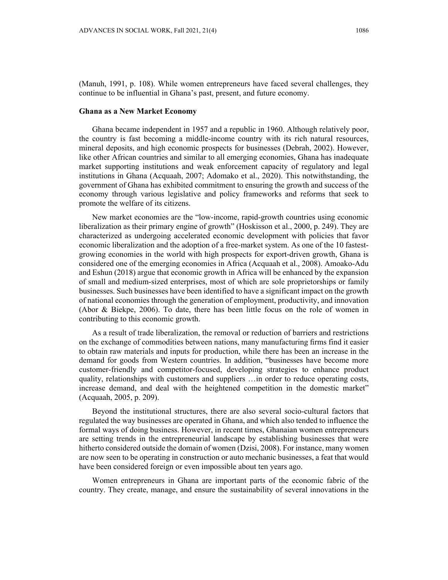(Manuh, 1991, p. 108). While women entrepreneurs have faced several challenges, they continue to be influential in Ghana's past, present, and future economy.

#### **Ghana as a New Market Economy**

Ghana became independent in 1957 and a republic in 1960. Although relatively poor, the country is fast becoming a middle-income country with its rich natural resources, mineral deposits, and high economic prospects for businesses (Debrah, 2002). However, like other African countries and similar to all emerging economies, Ghana has inadequate market supporting institutions and weak enforcement capacity of regulatory and legal institutions in Ghana (Acquaah, 2007; Adomako et al., 2020). This notwithstanding, the government of Ghana has exhibited commitment to ensuring the growth and success of the economy through various legislative and policy frameworks and reforms that seek to promote the welfare of its citizens.

New market economies are the "low-income, rapid-growth countries using economic liberalization as their primary engine of growth" (Hoskisson et al., 2000, p. 249). They are characterized as undergoing accelerated economic development with policies that favor economic liberalization and the adoption of a free-market system. As one of the 10 fastestgrowing economies in the world with high prospects for export-driven growth, Ghana is considered one of the emerging economies in Africa (Acquaah et al., 2008). Amoako-Adu and Eshun (2018) argue that economic growth in Africa will be enhanced by the expansion of small and medium-sized enterprises, most of which are sole proprietorships or family businesses. Such businesses have been identified to have a significant impact on the growth of national economies through the generation of employment, productivity, and innovation (Abor & Biekpe, 2006). To date, there has been little focus on the role of women in contributing to this economic growth.

As a result of trade liberalization, the removal or reduction of barriers and restrictions on the exchange of commodities between nations, many manufacturing firms find it easier to obtain raw materials and inputs for production, while there has been an increase in the demand for goods from Western countries. In addition, "businesses have become more customer-friendly and competitor-focused, developing strategies to enhance product quality, relationships with customers and suppliers …in order to reduce operating costs, increase demand, and deal with the heightened competition in the domestic market" (Acquaah, 2005, p. 209).

Beyond the institutional structures, there are also several socio-cultural factors that regulated the way businesses are operated in Ghana, and which also tended to influence the formal ways of doing business. However, in recent times, Ghanaian women entrepreneurs are setting trends in the entrepreneurial landscape by establishing businesses that were hitherto considered outside the domain of women (Dzisi, 2008). For instance, many women are now seen to be operating in construction or auto mechanic businesses, a feat that would have been considered foreign or even impossible about ten years ago.

Women entrepreneurs in Ghana are important parts of the economic fabric of the country. They create, manage, and ensure the sustainability of several innovations in the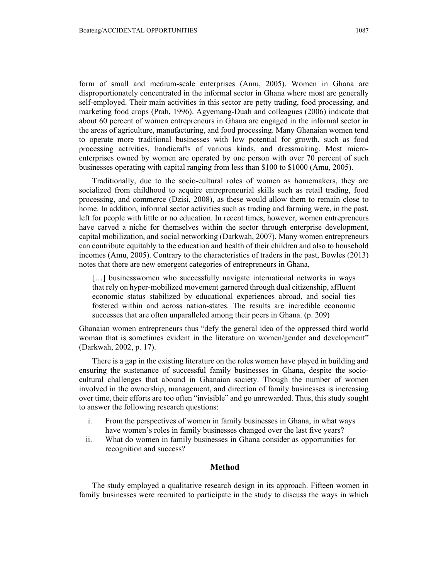form of small and medium-scale enterprises (Amu, 2005). Women in Ghana are disproportionately concentrated in the informal sector in Ghana where most are generally self-employed. Their main activities in this sector are petty trading, food processing, and marketing food crops (Prah, 1996). Agyemang-Duah and colleagues (2006) indicate that about 60 percent of women entrepreneurs in Ghana are engaged in the informal sector in the areas of agriculture, manufacturing, and food processing. Many Ghanaian women tend to operate more traditional businesses with low potential for growth, such as food processing activities, handicrafts of various kinds, and dressmaking. Most microenterprises owned by women are operated by one person with over 70 percent of such businesses operating with capital ranging from less than \$100 to \$1000 (Amu, 2005).

Traditionally, due to the socio-cultural roles of women as homemakers, they are socialized from childhood to acquire entrepreneurial skills such as retail trading, food processing, and commerce (Dzisi, 2008), as these would allow them to remain close to home. In addition, informal sector activities such as trading and farming were, in the past, left for people with little or no education. In recent times, however, women entrepreneurs have carved a niche for themselves within the sector through enterprise development, capital mobilization, and social networking (Darkwah, 2007). Many women entrepreneurs can contribute equitably to the education and health of their children and also to household incomes (Amu, 2005). Contrary to the characteristics of traders in the past, Bowles (2013) notes that there are new emergent categories of entrepreneurs in Ghana,

[...] businesswomen who successfully navigate international networks in ways that rely on hyper-mobilized movement garnered through dual citizenship, affluent economic status stabilized by educational experiences abroad, and social ties fostered within and across nation-states. The results are incredible economic successes that are often unparalleled among their peers in Ghana. (p. 209)

Ghanaian women entrepreneurs thus "defy the general idea of the oppressed third world woman that is sometimes evident in the literature on women/gender and development" (Darkwah, 2002, p. 17).

There is a gap in the existing literature on the roles women have played in building and ensuring the sustenance of successful family businesses in Ghana, despite the sociocultural challenges that abound in Ghanaian society. Though the number of women involved in the ownership, management, and direction of family businesses is increasing over time, their efforts are too often "invisible" and go unrewarded. Thus, this study sought to answer the following research questions:

- i. From the perspectives of women in family businesses in Ghana, in what ways have women's roles in family businesses changed over the last five years?
- ii. What do women in family businesses in Ghana consider as opportunities for recognition and success?

### **Method**

The study employed a qualitative research design in its approach. Fifteen women in family businesses were recruited to participate in the study to discuss the ways in which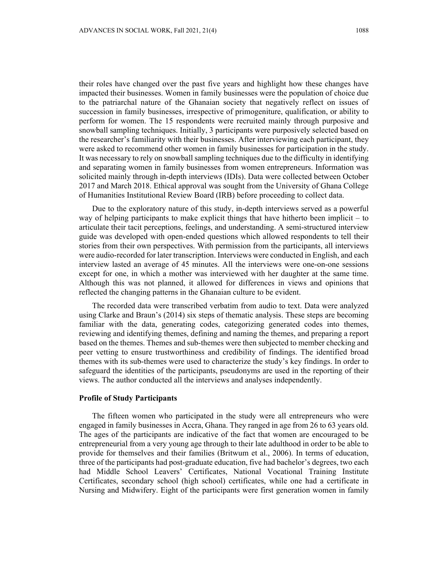their roles have changed over the past five years and highlight how these changes have impacted their businesses. Women in family businesses were the population of choice due to the patriarchal nature of the Ghanaian society that negatively reflect on issues of succession in family businesses, irrespective of primogeniture, qualification, or ability to perform for women. The 15 respondents were recruited mainly through purposive and snowball sampling techniques. Initially, 3 participants were purposively selected based on the researcher's familiarity with their businesses. After interviewing each participant, they were asked to recommend other women in family businesses for participation in the study. It was necessary to rely on snowball sampling techniques due to the difficulty in identifying and separating women in family businesses from women entrepreneurs. Information was solicited mainly through in-depth interviews (IDIs). Data were collected between October 2017 and March 2018. Ethical approval was sought from the University of Ghana College of Humanities Institutional Review Board (IRB) before proceeding to collect data.

Due to the exploratory nature of this study, in-depth interviews served as a powerful way of helping participants to make explicit things that have hitherto been implicit – to articulate their tacit perceptions, feelings, and understanding. A semi-structured interview guide was developed with open-ended questions which allowed respondents to tell their stories from their own perspectives. With permission from the participants, all interviews were audio-recorded for later transcription. Interviews were conducted in English, and each interview lasted an average of 45 minutes. All the interviews were one-on-one sessions except for one, in which a mother was interviewed with her daughter at the same time. Although this was not planned, it allowed for differences in views and opinions that reflected the changing patterns in the Ghanaian culture to be evident.

The recorded data were transcribed verbatim from audio to text. Data were analyzed using Clarke and Braun's (2014) six steps of thematic analysis. These steps are becoming familiar with the data, generating codes, categorizing generated codes into themes, reviewing and identifying themes, defining and naming the themes, and preparing a report based on the themes. Themes and sub-themes were then subjected to member checking and peer vetting to ensure trustworthiness and credibility of findings. The identified broad themes with its sub-themes were used to characterize the study's key findings. In order to safeguard the identities of the participants, pseudonyms are used in the reporting of their views. The author conducted all the interviews and analyses independently.

### **Profile of Study Participants**

The fifteen women who participated in the study were all entrepreneurs who were engaged in family businesses in Accra, Ghana. They ranged in age from 26 to 63 years old. The ages of the participants are indicative of the fact that women are encouraged to be entrepreneurial from a very young age through to their late adulthood in order to be able to provide for themselves and their families (Britwum et al., 2006). In terms of education, three of the participants had post-graduate education, five had bachelor's degrees, two each had Middle School Leavers' Certificates, National Vocational Training Institute Certificates, secondary school (high school) certificates, while one had a certificate in Nursing and Midwifery. Eight of the participants were first generation women in family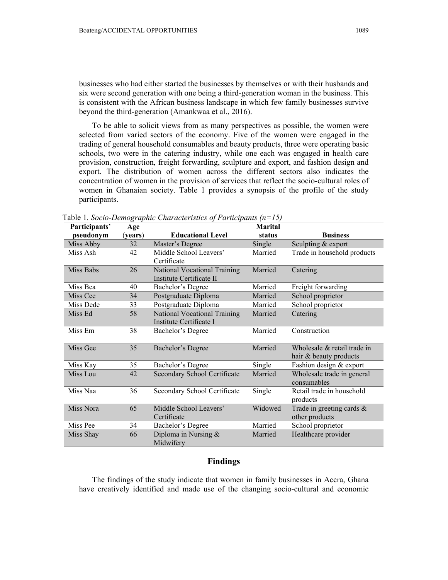businesses who had either started the businesses by themselves or with their husbands and six were second generation with one being a third-generation woman in the business. This is consistent with the African business landscape in which few family businesses survive beyond the third-generation (Amankwaa et al., 2016).

To be able to solicit views from as many perspectives as possible, the women were selected from varied sectors of the economy. Five of the women were engaged in the trading of general household consumables and beauty products, three were operating basic schools, two were in the catering industry, while one each was engaged in health care provision, construction, freight forwarding, sculpture and export, and fashion design and export. The distribution of women across the different sectors also indicates the concentration of women in the provision of services that reflect the socio-cultural roles of women in Ghanaian society. Table 1 provides a synopsis of the profile of the study participants.

| Participants' | Age     |                              | <b>Marital</b> |                                |
|---------------|---------|------------------------------|----------------|--------------------------------|
| pseudonym     | (years) | <b>Educational Level</b>     | status         | <b>Business</b>                |
| Miss Abby     | 32      | Master's Degree              | Single         | Sculpting & export             |
| Miss Ash      | 42      | Middle School Leavers'       | Married        | Trade in household products    |
|               |         | Certificate                  |                |                                |
| Miss Babs     | 26      | National Vocational Training | Married        | Catering                       |
|               |         | Institute Certificate II     |                |                                |
| Miss Bea      | 40      | Bachelor's Degree            | Married        | Freight forwarding             |
| Miss Cee      | 34      | Postgraduate Diploma         | Married        | School proprietor              |
| Miss Dede     | 33      | Postgraduate Diploma         | Married        | School proprietor              |
| Miss Ed       | 58      | National Vocational Training | Married        | Catering                       |
|               |         | Institute Certificate I      |                |                                |
| Miss Em       | 38      | Bachelor's Degree            | Married        | Construction                   |
|               |         |                              |                |                                |
| Miss Gee      | 35      | <b>Bachelor's Degree</b>     | Married        | Wholesale $\&$ retail trade in |
|               |         |                              |                | hair & beauty products         |
| Miss Kay      | 35      | Bachelor's Degree            | Single         | Fashion design & export        |
| Miss Lou      | 42      | Secondary School Certificate | Married        | Wholesale trade in general     |
|               |         |                              |                | consumables                    |
| Miss Naa      | 36      | Secondary School Certificate | Single         | Retail trade in household      |
|               |         |                              |                | products                       |
| Miss Nora     | 65      | Middle School Leavers'       | Widowed        | Trade in greeting cards &      |
|               |         | Certificate                  |                | other products                 |
| Miss Pee      | 34      | Bachelor's Degree            | Married        | School proprietor              |
| Miss Shay     | 66      | Diploma in Nursing &         | Married        | Healthcare provider            |
|               |         | Midwifery                    |                |                                |

Table 1*. Socio-Demographic Characteristics of Participants (n=15)* 

# **Findings**

The findings of the study indicate that women in family businesses in Accra, Ghana have creatively identified and made use of the changing socio-cultural and economic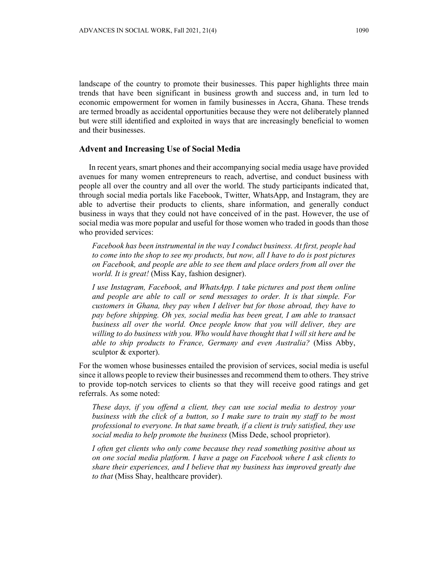landscape of the country to promote their businesses. This paper highlights three main trends that have been significant in business growth and success and, in turn led to economic empowerment for women in family businesses in Accra, Ghana. These trends are termed broadly as accidental opportunities because they were not deliberately planned but were still identified and exploited in ways that are increasingly beneficial to women and their businesses.

# **Advent and Increasing Use of Social Media**

In recent years, smart phones and their accompanying social media usage have provided avenues for many women entrepreneurs to reach, advertise, and conduct business with people all over the country and all over the world. The study participants indicated that, through social media portals like Facebook, Twitter, WhatsApp, and Instagram, they are able to advertise their products to clients, share information, and generally conduct business in ways that they could not have conceived of in the past. However, the use of social media was more popular and useful for those women who traded in goods than those who provided services:

*Facebook has been instrumental in the way I conduct business. At first, people had to come into the shop to see my products, but now, all I have to do is post pictures on Facebook, and people are able to see them and place orders from all over the world. It is great!* (Miss Kay, fashion designer).

*I use Instagram, Facebook, and WhatsApp. I take pictures and post them online and people are able to call or send messages to order. It is that simple. For customers in Ghana, they pay when I deliver but for those abroad, they have to pay before shipping. Oh yes, social media has been great, I am able to transact business all over the world. Once people know that you will deliver, they are willing to do business with you. Who would have thought that I will sit here and be able to ship products to France, Germany and even Australia?* (Miss Abby, sculptor & exporter).

For the women whose businesses entailed the provision of services, social media is useful since it allows people to review their businesses and recommend them to others. They strive to provide top-notch services to clients so that they will receive good ratings and get referrals. As some noted:

*These days, if you offend a client, they can use social media to destroy your business with the click of a button, so I make sure to train my staff to be most professional to everyone. In that same breath, if a client is truly satisfied, they use social media to help promote the business* (Miss Dede, school proprietor).

*I often get clients who only come because they read something positive about us on one social media platform. I have a page on Facebook where I ask clients to share their experiences, and I believe that my business has improved greatly due to that* (Miss Shay, healthcare provider).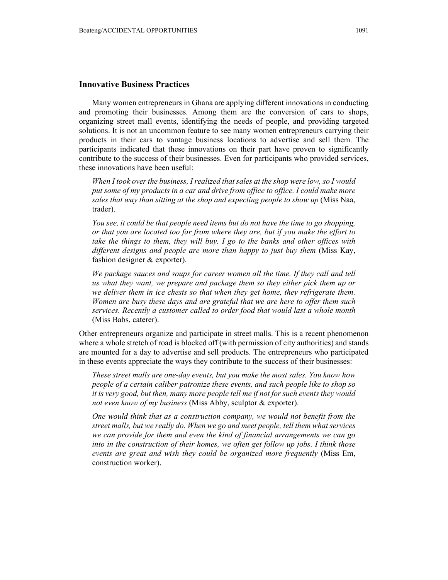### **Innovative Business Practices**

Many women entrepreneurs in Ghana are applying different innovations in conducting and promoting their businesses. Among them are the conversion of cars to shops, organizing street mall events, identifying the needs of people, and providing targeted solutions. It is not an uncommon feature to see many women entrepreneurs carrying their products in their cars to vantage business locations to advertise and sell them. The participants indicated that these innovations on their part have proven to significantly contribute to the success of their businesses. Even for participants who provided services, these innovations have been useful:

*When I took over the business, I realized that sales at the shop were low, so I would put some of my products in a car and drive from office to office. I could make more sales that way than sitting at the shop and expecting people to show up* (Miss Naa, trader).

*You see, it could be that people need items but do not have the time to go shopping, or that you are located too far from where they are, but if you make the effort to take the things to them, they will buy. I go to the banks and other offices with different designs and people are more than happy to just buy them* (Miss Kay, fashion designer & exporter).

We package sauces and soups for career women all the time. If they call and tell *us what they want, we prepare and package them so they either pick them up or we deliver them in ice chests so that when they get home, they refrigerate them. Women are busy these days and are grateful that we are here to offer them such services. Recently a customer called to order food that would last a whole month*  (Miss Babs, caterer).

Other entrepreneurs organize and participate in street malls. This is a recent phenomenon where a whole stretch of road is blocked off (with permission of city authorities) and stands are mounted for a day to advertise and sell products. The entrepreneurs who participated in these events appreciate the ways they contribute to the success of their businesses:

*These street malls are one-day events, but you make the most sales. You know how people of a certain caliber patronize these events, and such people like to shop so it is very good, but then, many more people tell me if not for such events they would not even know of my business* (Miss Abby, sculptor & exporter).

*One would think that as a construction company, we would not benefit from the street malls, but we really do. When we go and meet people, tell them what services we can provide for them and even the kind of financial arrangements we can go into in the construction of their homes, we often get follow up jobs. I think those events are great and wish they could be organized more frequently* (Miss Em, construction worker).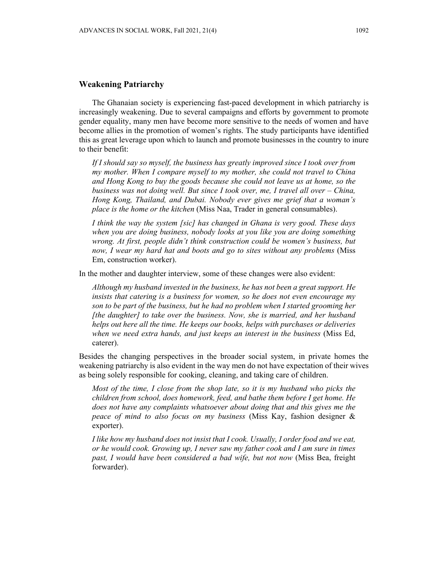### **Weakening Patriarchy**

The Ghanaian society is experiencing fast-paced development in which patriarchy is increasingly weakening. Due to several campaigns and efforts by government to promote gender equality, many men have become more sensitive to the needs of women and have become allies in the promotion of women's rights. The study participants have identified this as great leverage upon which to launch and promote businesses in the country to inure to their benefit:

*If I should say so myself, the business has greatly improved since I took over from my mother. When I compare myself to my mother, she could not travel to China and Hong Kong to buy the goods because she could not leave us at home, so the business was not doing well. But since I took over, me, I travel all over – China, Hong Kong, Thailand, and Dubai. Nobody ever gives me grief that a woman's place is the home or the kitchen* (Miss Naa, Trader in general consumables).

*I think the way the system [sic] has changed in Ghana is very good. These days when you are doing business, nobody looks at you like you are doing something wrong. At first, people didn't think construction could be women's business, but now, I wear my hard hat and boots and go to sites without any problems* (Miss Em, construction worker).

In the mother and daughter interview, some of these changes were also evident:

*Although my husband invested in the business, he has not been a great support. He insists that catering is a business for women, so he does not even encourage my son to be part of the business, but he had no problem when I started grooming her [the daughter] to take over the business. Now, she is married, and her husband helps out here all the time. He keeps our books, helps with purchases or deliveries when we need extra hands, and just keeps an interest in the business* (Miss Ed, caterer).

Besides the changing perspectives in the broader social system, in private homes the weakening patriarchy is also evident in the way men do not have expectation of their wives as being solely responsible for cooking, cleaning, and taking care of children.

*Most of the time, I close from the shop late, so it is my husband who picks the children from school, does homework, feed, and bathe them before I get home. He does not have any complaints whatsoever about doing that and this gives me the peace of mind to also focus on my business* (Miss Kay, fashion designer & exporter).

*I like how my husband does not insist that I cook. Usually, I order food and we eat, or he would cook. Growing up, I never saw my father cook and I am sure in times past, I would have been considered a bad wife, but not now* (Miss Bea, freight forwarder).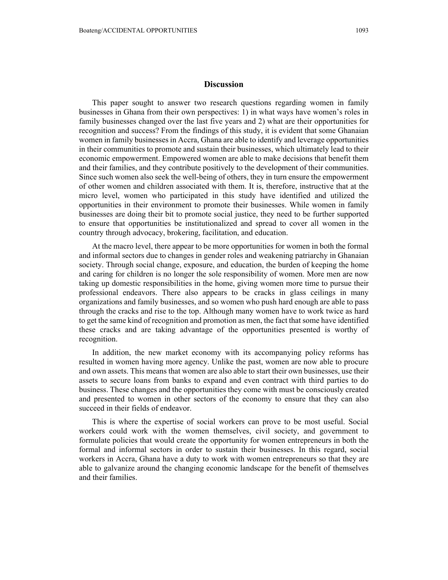## **Discussion**

This paper sought to answer two research questions regarding women in family businesses in Ghana from their own perspectives: 1) in what ways have women's roles in family businesses changed over the last five years and 2) what are their opportunities for recognition and success? From the findings of this study, it is evident that some Ghanaian women in family businesses in Accra, Ghana are able to identify and leverage opportunities in their communities to promote and sustain their businesses, which ultimately lead to their economic empowerment. Empowered women are able to make decisions that benefit them and their families, and they contribute positively to the development of their communities. Since such women also seek the well-being of others, they in turn ensure the empowerment of other women and children associated with them. It is, therefore, instructive that at the micro level, women who participated in this study have identified and utilized the opportunities in their environment to promote their businesses. While women in family businesses are doing their bit to promote social justice, they need to be further supported to ensure that opportunities be institutionalized and spread to cover all women in the country through advocacy, brokering, facilitation, and education.

At the macro level, there appear to be more opportunities for women in both the formal and informal sectors due to changes in gender roles and weakening patriarchy in Ghanaian society. Through social change, exposure, and education, the burden of keeping the home and caring for children is no longer the sole responsibility of women. More men are now taking up domestic responsibilities in the home, giving women more time to pursue their professional endeavors. There also appears to be cracks in glass ceilings in many organizations and family businesses, and so women who push hard enough are able to pass through the cracks and rise to the top. Although many women have to work twice as hard to get the same kind of recognition and promotion as men, the fact that some have identified these cracks and are taking advantage of the opportunities presented is worthy of recognition.

In addition, the new market economy with its accompanying policy reforms has resulted in women having more agency. Unlike the past, women are now able to procure and own assets. This means that women are also able to start their own businesses, use their assets to secure loans from banks to expand and even contract with third parties to do business. These changes and the opportunities they come with must be consciously created and presented to women in other sectors of the economy to ensure that they can also succeed in their fields of endeavor.

This is where the expertise of social workers can prove to be most useful. Social workers could work with the women themselves, civil society, and government to formulate policies that would create the opportunity for women entrepreneurs in both the formal and informal sectors in order to sustain their businesses. In this regard, social workers in Accra, Ghana have a duty to work with women entrepreneurs so that they are able to galvanize around the changing economic landscape for the benefit of themselves and their families.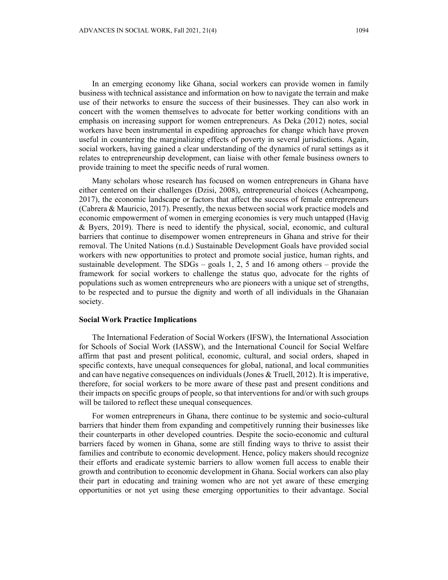In an emerging economy like Ghana, social workers can provide women in family business with technical assistance and information on how to navigate the terrain and make use of their networks to ensure the success of their businesses. They can also work in concert with the women themselves to advocate for better working conditions with an emphasis on increasing support for women entrepreneurs. As Deka (2012) notes, social workers have been instrumental in expediting approaches for change which have proven useful in countering the marginalizing effects of poverty in several jurisdictions. Again, social workers, having gained a clear understanding of the dynamics of rural settings as it relates to entrepreneurship development, can liaise with other female business owners to provide training to meet the specific needs of rural women.

Many scholars whose research has focused on women entrepreneurs in Ghana have either centered on their challenges (Dzisi, 2008), entrepreneurial choices (Acheampong, 2017), the economic landscape or factors that affect the success of female entrepreneurs (Cabrera & Mauricio, 2017). Presently, the nexus between social work practice models and economic empowerment of women in emerging economies is very much untapped (Havig & Byers, 2019). There is need to identify the physical, social, economic, and cultural barriers that continue to disempower women entrepreneurs in Ghana and strive for their removal. The United Nations (n.d.) Sustainable Development Goals have provided social workers with new opportunities to protect and promote social justice, human rights, and sustainable development. The SDGs – goals 1, 2, 5 and 16 among others – provide the framework for social workers to challenge the status quo, advocate for the rights of populations such as women entrepreneurs who are pioneers with a unique set of strengths, to be respected and to pursue the dignity and worth of all individuals in the Ghanaian society.

#### **Social Work Practice Implications**

The International Federation of Social Workers (IFSW), the International Association for Schools of Social Work (IASSW), and the International Council for Social Welfare affirm that past and present political, economic, cultural, and social orders, shaped in specific contexts, have unequal consequences for global, national, and local communities and can have negative consequences on individuals (Jones & Truell, 2012). It is imperative, therefore, for social workers to be more aware of these past and present conditions and their impacts on specific groups of people, so that interventions for and/or with such groups will be tailored to reflect these unequal consequences.

For women entrepreneurs in Ghana, there continue to be systemic and socio-cultural barriers that hinder them from expanding and competitively running their businesses like their counterparts in other developed countries. Despite the socio-economic and cultural barriers faced by women in Ghana, some are still finding ways to thrive to assist their families and contribute to economic development. Hence, policy makers should recognize their efforts and eradicate systemic barriers to allow women full access to enable their growth and contribution to economic development in Ghana. Social workers can also play their part in educating and training women who are not yet aware of these emerging opportunities or not yet using these emerging opportunities to their advantage. Social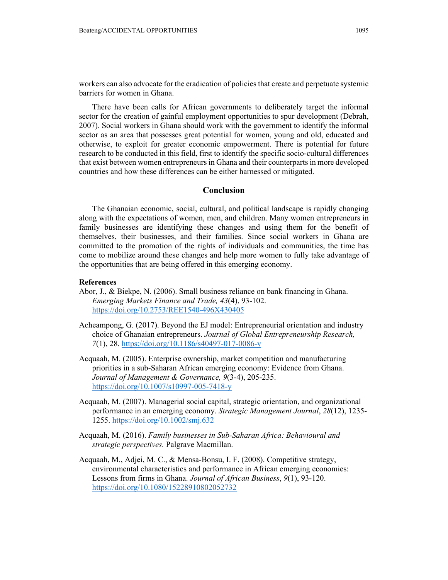workers can also advocate for the eradication of policies that create and perpetuate systemic barriers for women in Ghana.

There have been calls for African governments to deliberately target the informal sector for the creation of gainful employment opportunities to spur development (Debrah, 2007). Social workers in Ghana should work with the government to identify the informal sector as an area that possesses great potential for women, young and old, educated and otherwise, to exploit for greater economic empowerment. There is potential for future research to be conducted in this field, first to identify the specific socio-cultural differences that exist between women entrepreneurs in Ghana and their counterparts in more developed countries and how these differences can be either harnessed or mitigated.

## **Conclusion**

The Ghanaian economic, social, cultural, and political landscape is rapidly changing along with the expectations of women, men, and children. Many women entrepreneurs in family businesses are identifying these changes and using them for the benefit of themselves, their businesses, and their families. Since social workers in Ghana are committed to the promotion of the rights of individuals and communities, the time has come to mobilize around these changes and help more women to fully take advantage of the opportunities that are being offered in this emerging economy.

### **References**

- Abor, J., & Biekpe, N. (2006). Small business reliance on bank financing in Ghana. *Emerging Markets Finance and Trade, 43*(4), 93-102. https://doi.org/10.2753/REE1540-496X430405
- Acheampong, G. (2017). Beyond the EJ model: Entrepreneurial orientation and industry choice of Ghanaian entrepreneurs. *Journal of Global Entrepreneurship Research, 7*(1), 28. https://doi.org/10.1186/s40497-017-0086-y
- Acquaah, M. (2005). Enterprise ownership, market competition and manufacturing priorities in a sub-Saharan African emerging economy: Evidence from Ghana. *Journal of Management & Governance, 9*(3-4), 205-235. https://doi.org/10.1007/s10997-005-7418-y
- Acquaah, M. (2007). Managerial social capital, strategic orientation, and organizational performance in an emerging economy. *Strategic Management Journal*, *28*(12), 1235- 1255. https://doi.org/10.1002/smj.632
- Acquaah, M. (2016). *Family businesses in Sub-Saharan Africa: Behavioural and strategic perspectives.* Palgrave Macmillan.
- Acquaah, M., Adjei, M. C., & Mensa-Bonsu, I. F. (2008). Competitive strategy, environmental characteristics and performance in African emerging economies: Lessons from firms in Ghana. *Journal of African Business*, *9*(1), 93-120. https://doi.org/10.1080/15228910802052732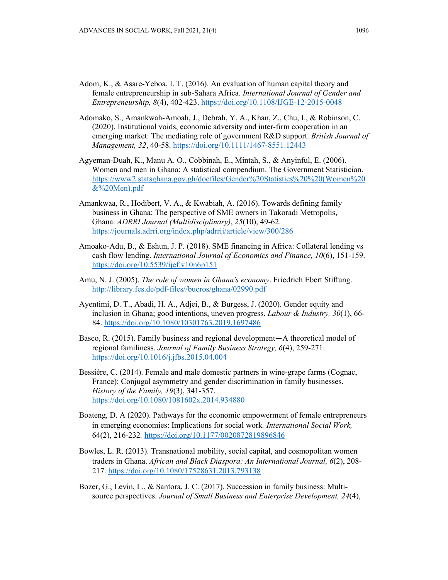- Adom, K., & Asare-Yeboa, I. T. (2016). An evaluation of human capital theory and female entrepreneurship in sub-Sahara Africa. *International Journal of Gender and Entrepreneurship, 8*(4), 402-423. https://doi.org/10.1108/IJGE-12-2015-0048
- Adomako, S., Amankwah‐Amoah, J., Debrah, Y. A., Khan, Z., Chu, I., & Robinson, C. (2020). Institutional voids, economic adversity and inter‐firm cooperation in an emerging market: The mediating role of government R&D support. *British Journal of Management, 32*, 40-58. https://doi.org/10.1111/1467-8551.12443
- Agyeman-Duah, K., Manu A. O., Cobbinah, E., Mintah, S., & Anyinful, E. (2006). Women and men in Ghana: A statistical compendium. The Government Statistician. https://www2.statsghana.gov.gh/docfiles/Gender%20Statistics%20%20(Women%20 &%20Men).pdf
- Amankwaa, R., Hodibert, V. A., & Kwabiah, A. (2016). Towards defining family business in Ghana: The perspective of SME owners in Takoradi Metropolis, Ghana. *ADRRI Journal (Multidisciplinary)*, *25*(10), 49-62. https://journals.adrri.org/index.php/adrrij/article/view/300/286
- Amoako-Adu, B., & Eshun, J. P. (2018). SME financing in Africa: Collateral lending vs cash flow lending. *International Journal of Economics and Finance, 10*(6), 151-159. https://doi.org/10.5539/ijef.v10n6p151
- Amu, N. J. (2005). *The role of women in Ghana's economy*. Friedrich Ebert Stiftung. http://library.fes.de/pdf-files//bueros/ghana/02990.pdf
- Ayentimi, D. T., Abadi, H. A., Adjei, B., & Burgess, J. (2020). Gender equity and inclusion in Ghana; good intentions, uneven progress. *Labour & Industry, 30*(1), 66- 84. https://doi.org/10.1080/10301763.2019.1697486
- Basco, R. (2015). Family business and regional development—A theoretical model of regional familiness. *Journal of Family Business Strategy, 6*(4), 259-271. https://doi.org/10.1016/j.jfbs.2015.04.004
- Bessière, C. (2014). Female and male domestic partners in wine-grape farms (Cognac, France): Conjugal asymmetry and gender discrimination in family businesses. *History of the Family, 19*(3), 341-357. https://doi.org/10.1080/1081602x.2014.934880
- Boateng, D. A (2020). Pathways for the economic empowerment of female entrepreneurs in emerging economies: Implications for social work*. International Social Work,*  64(2), 216-232*.* https://doi.org/10.1177/0020872819896846
- Bowles, L. R. (2013). Transnational mobility, social capital, and cosmopolitan women traders in Ghana. *African and Black Diaspora: An International Journal, 6*(2), 208- 217. https://doi.org/10.1080/17528631.2013.793138
- Bozer, G., Levin, L., & Santora, J. C. (2017). Succession in family business: Multisource perspectives. *Journal of Small Business and Enterprise Development, 24*(4),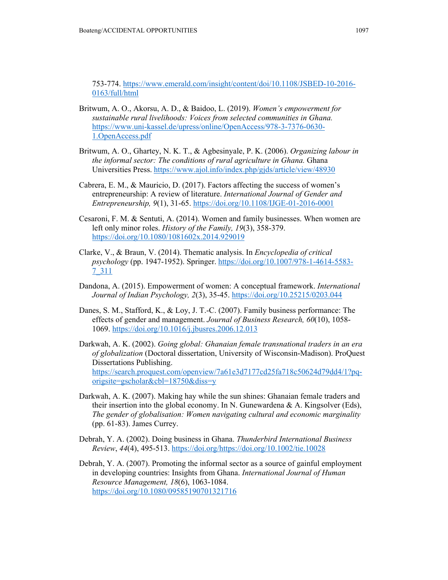753-774. https://www.emerald.com/insight/content/doi/10.1108/JSBED-10-2016- 0163/full/html

- Britwum, A. O., Akorsu, A. D., & Baidoo, L. (2019). *Women's empowerment for sustainable rural livelihoods: Voices from selected communities in Ghana.*  https://www.uni-kassel.de/upress/online/OpenAccess/978-3-7376-0630- 1.OpenAccess.pdf
- Britwum, A. O., Ghartey, N. K. T., & Agbesinyale, P. K. (2006). *Organizing labour in the informal sector: The conditions of rural agriculture in Ghana.* Ghana Universities Press. https://www.ajol.info/index.php/gjds/article/view/48930
- Cabrera, E. M., & Mauricio, D. (2017). Factors affecting the success of women's entrepreneurship: A review of literature. *International Journal of Gender and Entrepreneurship, 9*(1), 31-65. https://doi.org/10.1108/IJGE-01-2016-0001
- Cesaroni, F. M. & Sentuti, A. (2014). Women and family businesses. When women are left only minor roles. *History of the Family, 19*(3), 358-379. https://doi.org/10.1080/1081602x.2014.929019
- Clarke, V., & Braun, V. (2014). Thematic analysis. In *Encyclopedia of critical psychology* (pp. 1947-1952). Springer. https://doi.org/10.1007/978-1-4614-5583- 7\_311
- Dandona, A. (2015). Empowerment of women: A conceptual framework. *International Journal of Indian Psychology, 2*(3), 35-45. https://doi.org/10.25215/0203.044
- Danes, S. M., Stafford, K., & Loy, J. T.-C. (2007). Family business performance: The effects of gender and management. *Journal of Business Research, 60*(10), 1058- 1069. https://doi.org/10.1016/j.jbusres.2006.12.013
- Darkwah, A. K. (2002). *Going global: Ghanaian female transnational traders in an era of globalization* (Doctoral dissertation, University of Wisconsin-Madison). ProQuest Dissertations Publishing. https://search.proquest.com/openview/7a61e3d7177cd25fa718c50624d79dd4/1?pqorigsite=gscholar&cbl=18750&diss=y
- Darkwah, A. K. (2007). Making hay while the sun shines: Ghanaian female traders and their insertion into the global economy. In N. Gunewardena & A. Kingsolver (Eds), *The gender of globalisation: Women navigating cultural and economic marginality* (pp. 61-83). James Currey.
- Debrah, Y. A. (2002). Doing business in Ghana. *Thunderbird International Business Review*, *44*(4), 495-513. https://doi.org/https://doi.org/10.1002/tie.10028
- Debrah, Y. A. (2007). Promoting the informal sector as a source of gainful employment in developing countries: Insights from Ghana. *International Journal of Human Resource Management, 18*(6), 1063-1084. https://doi.org/10.1080/09585190701321716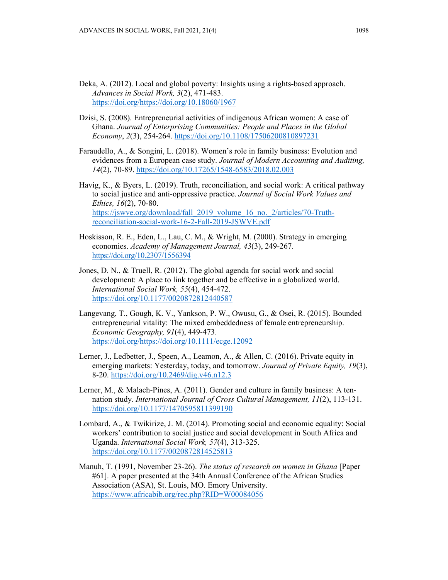- Deka, A. (2012). Local and global poverty: Insights using a rights-based approach. *Advances in Social Work, 3*(2), 471-483. https://doi.org/https://doi.org/10.18060/1967
- Dzisi, S. (2008). Entrepreneurial activities of indigenous African women: A case of Ghana. *Journal of Enterprising Communities: People and Places in the Global Economy*, *2*(3), 254-264. https://doi.org/10.1108/17506200810897231
- Faraudello, A., & Songini, L. (2018). Women's role in family business: Evolution and evidences from a European case study. *Journal of Modern Accounting and Auditing, 14*(2), 70-89. https://doi.org/10.17265/1548-6583/2018.02.003
- Havig, K., & Byers, L. (2019). Truth, reconciliation, and social work: A critical pathway to social justice and anti-oppressive practice. *Journal of Social Work Values and Ethics, 16*(2), 70-80. https://jswve.org/download/fall\_2019\_volume\_16\_no.\_2/articles/70-Truthreconciliation-social-work-16-2-Fall-2019-JSWVE.pdf
- Hoskisson, R. E., Eden, L., Lau, C. M., & Wright, M. (2000). Strategy in emerging economies. *Academy of Management Journal, 43*(3), 249-267. https://doi.org/10.2307/1556394
- Jones, D. N., & Truell, R. (2012). The global agenda for social work and social development: A place to link together and be effective in a globalized world. *International Social Work, 55*(4), 454-472. https://doi.org/10.1177/0020872812440587
- Langevang, T., Gough, K. V., Yankson, P. W., Owusu, G., & Osei, R. (2015). Bounded entrepreneurial vitality: The mixed embeddedness of female entrepreneurship. *Economic Geography, 91*(4), 449-473. https://doi.org/https://doi.org/10.1111/ecge.12092
- Lerner, J., Ledbetter, J., Speen, A., Leamon, A., & Allen, C. (2016). Private equity in emerging markets: Yesterday, today, and tomorrow. *Journal of Private Equity, 19*(3), 8-20. https://doi.org/10.2469/dig.v46.n12.3
- Lerner, M., & Malach-Pines, A. (2011). Gender and culture in family business: A tennation study. *International Journal of Cross Cultural Management, 11*(2), 113-131. https://doi.org/10.1177/1470595811399190
- Lombard, A., & Twikirize, J. M. (2014). Promoting social and economic equality: Social workers' contribution to social justice and social development in South Africa and Uganda. *International Social Work, 57*(4), 313-325. https://doi.org/10.1177/0020872814525813
- Manuh, T. (1991, November 23-26). *The status of research on women in Ghana* [Paper #61]. A paper presented at the 34th Annual Conference of the African Studies Association (ASA), St. Louis, MO. Emory University. https://www.africabib.org/rec.php?RID=W00084056